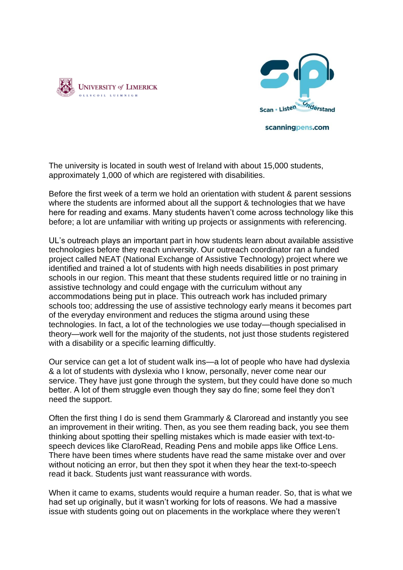



scanningpens.com

The university is located in south west of Ireland with about 15,000 students, approximately 1,000 of which are registered with disabilities.

Before the first week of a term we hold an orientation with student & parent sessions where the students are informed about all the support & technologies that we have here for reading and exams. Many students haven't come across technology like this before; a lot are unfamiliar with writing up projects or assignments with referencing.

UL's outreach plays an important part in how students learn about available assistive technologies before they reach university. Our outreach coordinator ran a funded project called NEAT (National Exchange of Assistive Technology) project where we identified and trained a lot of students with high needs disabilities in post primary schools in our region. This meant that these students required little or no training in assistive technology and could engage with the curriculum without any accommodations being put in place. This outreach work has included primary schools too; addressing the use of assistive technology early means it becomes part of the everyday environment and reduces the stigma around using these technologies. In fact, a lot of the technologies we use today—though specialised in theory—work well for the majority of the students, not just those students registered with a disability or a specific learning difficultly.

Our service can get a lot of student walk ins—a lot of people who have had dyslexia & a lot of students with dyslexia who I know, personally, never come near our service. They have just gone through the system, but they could have done so much better. A lot of them struggle even though they say do fine; some feel they don't need the support.

Often the first thing I do is send them Grammarly & Claroread and instantly you see an improvement in their writing. Then, as you see them reading back, you see them thinking about spotting their spelling mistakes which is made easier with text-tospeech devices like ClaroRead, Reading Pens and mobile apps like Office Lens. There have been times where students have read the same mistake over and over without noticing an error, but then they spot it when they hear the text-to-speech read it back. Students just want reassurance with words.

When it came to exams, students would require a human reader. So, that is what we had set up originally, but it wasn't working for lots of reasons. We had a massive issue with students going out on placements in the workplace where they weren't